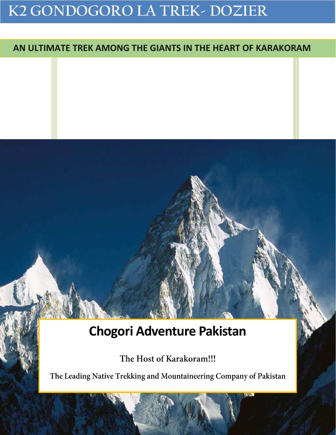# **K2 GONDOGORO LA TREK- DOZIER**

## **AN ULTIMATE TREK AMONG THE GIANTS IN THE HEART OF KARAKORAM**

# **Chogori Adventure Pakistan**

The Host of Karakoram!!!

The Leading Native Trekking and Mountaineering Company of Pakistan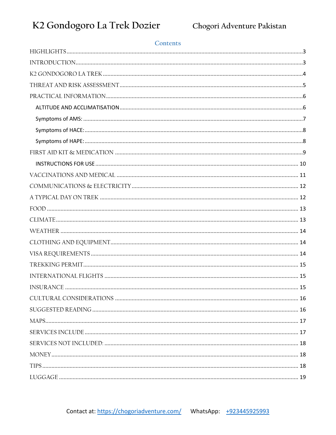### Contents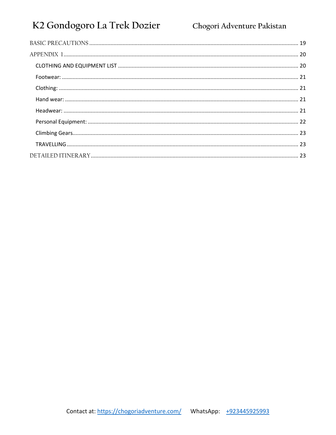## K2 Gondogoro La Trek Dozier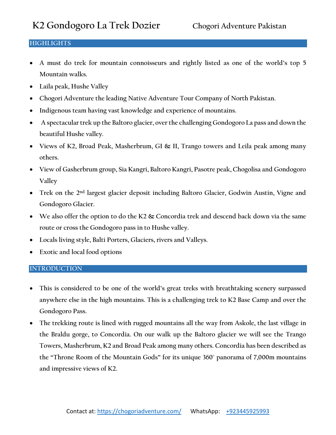## <span id="page-3-0"></span>**HIGHLIGHTS**

- **A must do trek for mountain connoisseurs and rightly listed as one of the world's top 5 Mountain walks.**
- **Laila peak, Hushe Valley**
- **Chogori Adventure the leading Native Adventure Tour Company of North Pakistan.**
- **Indigenous team having vast knowledge and experience of mountains.**
- **A spectacular trek up the Baltoro glacier, over the challenging Gondogoro La pass and down the beautiful Hushe valley.**
- **Views of K2, Broad Peak, Masherbrum, GI & II, Trango towers and Leila peak among many others.**
- **View of Gasherbrum group, Sia Kangri, Baltoro Kangri, Pasotre peak, Chogolisa and Gondogoro Valley**
- **Trek on the 2nd largest glacier deposit including Baltoro Glacier, Godwin Austin, Vigne and Gondogoro Glacier.**
- **We also offer the option to do the K2 & Concordia trek and descend back down via the same route or cross the Gondogoro pass in to Hushe valley.**
- **Locals living style, Balti Porters, Glaciers, rivers and Valleys.**
- **Exotic and local food options**

## <span id="page-3-1"></span>**INTRODUCTION**

- **This is considered to be one of the world's great treks with breathtaking scenery surpassed anywhere else in the high mountains. This is a challenging trek to K2 Base Camp and over the Gondogoro Pass.**
- **The trekking route is lined with rugged mountains all the way from Askole, the last village in the Braldu gorge, to Concordia. On our walk up the Baltoro glacier we will see the Trango Towers, Masherbrum, K2 and Broad Peak among many others. Concordia has been described as the "Throne Room of the Mountain Gods" for its unique 360˚ panorama of 7,000m mountains and impressive views of K2.**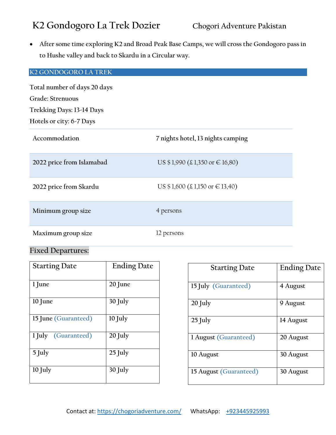**After some time exploring K2 and Broad Peak Base Camps, we will cross the Gondogoro pass in to Hushe valley and back to Skardu in a Circular way.**

## <span id="page-4-0"></span>**K2 GONDOGORO LA TREK**

**Total number of days 20 days Grade: Strenuous Trekking Days: 13-14 Days Hotels or city: 6-7 Days**

| Accommodation             | 7 nights hotel, 13 nights camping                                                      |
|---------------------------|----------------------------------------------------------------------------------------|
| 2022 price from Islamabad | US $$1,990 \ (\text{\textsterling} 1,350 \text{ or } \in 16,80)$                       |
| 2022 price from Skardu    | US $$1,600 \text{ } (\text{\textsterling}1,150 \text{ or } \text{\textsterling}13,40)$ |
| Minimum group size        | 4 persons                                                                              |
| Maximum group size        | 12 persons                                                                             |

## **Fixed Departures:**

| <b>Starting Date</b> | <b>Ending Date</b> |
|----------------------|--------------------|
| $1$ June             | 20 June            |
| $10$ June            | $30$ July          |
| 15 June (Guaranteed) | 10 July            |
| 1 July (Guaranteed)  | 20 July            |
| $5$ July             | $25$ July          |
| $10$ July            | $30$ July          |

| <b>Starting Date</b>   | <b>Ending Date</b> |
|------------------------|--------------------|
| 15 July (Guaranteed)   | 4 August           |
| 20 July                | 9 August           |
| $25$ July              | 14 August          |
| 1 August (Guaranteed)  | 20 August          |
| 10 August              | 30 August          |
| 15 August (Guaranteed) | 30 August          |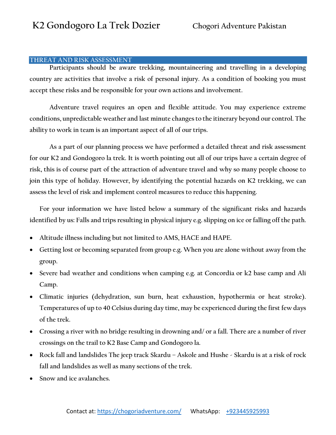### <span id="page-5-0"></span>**THREAT AND RISK ASSESSMENT**

**Participants should be aware trekking, mountaineering and travelling in a developing country are activities that involve a risk of personal injury. As a condition of booking you must accept these risks and be responsible for your own actions and involvement.**

**Adventure travel requires an open and flexible attitude. You may experience extreme conditions, unpredictable weather and last minute changes to the itinerary beyond our control. The ability to work in team is an important aspect of all of our trips.**

**As a part of our planning process we have performed a detailed threat and risk assessment for our K2 and Gondogoro la trek. It is worth pointing out all of our trips have a certain degree of risk, this is of course part of the attraction of adventure travel and why so many people choose to join this type of holiday. However, by identifying the potential hazards on K2 trekking, we can assess the level of risk and implement control measures to reduce this happening.**

**For your information we have listed below a summary of the significant risks and hazards identified by us: Falls and trips resulting in physical injury e.g. slipping on ice or falling off the path.**

- **Altitude illness including but not limited to AMS, HACE and HAPE.**
- **Getting lost or becoming separated from group e.g. When you are alone without away from the group.**
- **Severe bad weather and conditions when camping e.g. at Concordia or k2 base camp and Ali Camp.**
- **Climatic injuries (dehydration, sun burn, heat exhaustion, hypothermia or heat stroke). Temperatures of up to 40 Celsius during day time, may be experienced during the first few days of the trek.**
- **Crossing a river with no bridge resulting in drowning and/ or a fall. There are a number of river crossings on the trail to K2 Base Camp and Gondogoro la.**
- **Rock fall and landslides The jeep track Skardu – Askole and Hushe - Skardu is at a risk of rock fall and landslides as well as many sections of the trek.**
- **Snow and ice avalanches.**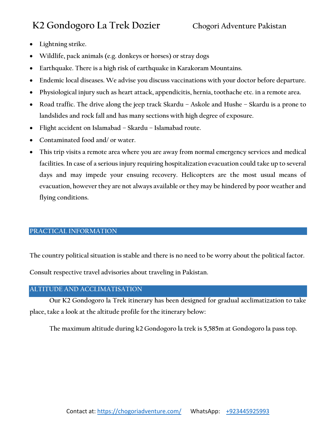- **Lightning strike.**
- **Wildlife, pack animals (e.g. donkeys or horses) or stray dogs**
- **Earthquake. There is a high risk of earthquake in Karakoram Mountains.**
- **Endemic local diseases. We advise you discuss vaccinations with your doctor before departure.**
- **Physiological injury such as heart attack, appendicitis, hernia, toothache etc. in a remote area.**
- **Road traffic. The drive along the jeep track Skardu – Askole and Hushe – Skardu is a prone to landslides and rock fall and has many sections with high degree of exposure.**
- **Flight accident on Islamabad – Skardu – Islamabad route.**
- **Contaminated food and/ or water.**
- **This trip visits a remote area where you are away from normal emergency services and medical facilities. In case of a serious injury requiring hospitalization evacuation could take up to several days and may impede your ensuing recovery. Helicopters are the most usual means of evacuation, however they are not always available or they may be hindered by poor weather and flying conditions.**

## <span id="page-6-0"></span>**PRACTICAL INFORMATION**

**The country political situation is stable and there is no need to be worry about the political factor.** 

**Consult respective travel advisories about traveling in Pakistan.**

## <span id="page-6-1"></span>**ALTITUDE AND ACCLIMATISATION**

**Our K2 Gondogoro la Trek itinerary has been designed for gradual acclimatization to take place, take a look at the altitude profile for the itinerary below:**

**The maximum altitude during k2 Gondogoro la trek is 5,585m at Gondogoro la pass top.**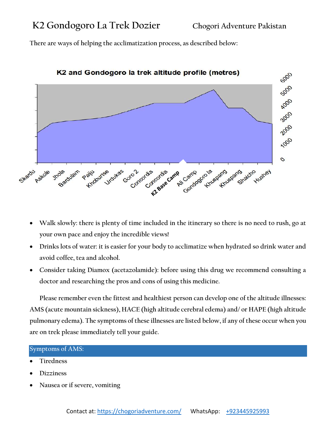**There are ways of helping the acclimatization process, as described below:**



K2 and Gondogoro la trek altitude profile (metres)

- **Walk slowly: there is plenty of time included in the itinerary so there is no need to rush, go at your own pace and enjoy the incredible views!**
- **Drinks lots of water: it is easier for your body to acclimatize when hydrated so drink water and avoid coffee, tea and alcohol.**
- **Consider taking Diamox (acetazolamide): before using this drug we recommend consulting a doctor and researching the pros and cons of using this medicine.**

**Please remember even the fittest and healthiest person can develop one of the altitude illnesses: AMS (acute mountain sickness), HACE (high altitude cerebral edema) and/ or HAPE (high altitude pulmonary edema). The symptoms of these illnesses are listed below, if any of these occur when you are on trek please immediately tell your guide.**

### <span id="page-7-0"></span>**Symptoms of AMS:**

- **Tiredness**
- **Dizziness**
- **Nausea or if severe, vomiting**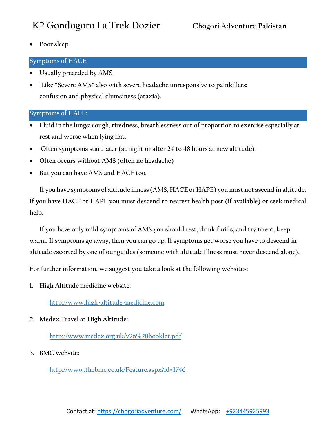**Poor sleep**

## <span id="page-8-0"></span>**Symptoms of HACE:**

- **Usually preceded by AMS**
- **Like "Severe AMS" also with severe headache unresponsive to painkillers; confusion and physical clumsiness (ataxia).**

## <span id="page-8-1"></span>**Symptoms of HAPE:**

- **Fluid in the lungs: cough, tiredness, breathlessness out of proportion to exercise especially at rest and worse when lying flat.**
- **Often symptoms start later (at night or after 24 to 48 hours at new altitude).**
- **Often occurs without AMS (often no headache)**
- **•** But you can have AMS and HACE too.

**If you have symptoms of altitude illness (AMS, HACE or HAPE) you must not ascend in altitude. If you have HACE or HAPE you must descend to nearest health post (if available) or seek medical help.**

**If you have only mild symptoms of AMS you should rest, drink fluids, and try to eat, keep warm. If symptoms go away, then you can go up. If symptoms get worse you have to descend in altitude escorted by one of our guides (someone with altitude illness must never descend alone).** 

**For further information, we suggest you take a look at the following websites:**

**1. High Altitude medicine website:**

**[http://www.high-altitude-medicine.com](http://www.high-altitude-medicine.com/)**

**2. Medex Travel at High Altitude:**

**<http://www.medex.org.uk/v26%20booklet.pdf>**

**3. BMC website:**

**<http://www.thebmc.co.uk/Feature.aspx?id=1746>**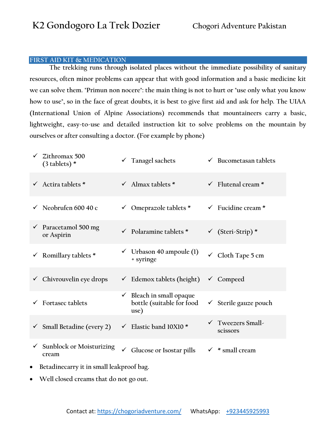### <span id="page-9-0"></span>**FIRST AID KIT & MEDICATION**

**The trekking runs through isolated places without the immediate possibility of sanitary resources, often minor problems can appear that with good information and a basic medicine kit we can solve them. "Primun non nocere": the main thing is not to hurt or "use only what you know how to use", so in the face of great doubts, it is best to give first aid and ask for help. The UIAA (International Union of Alpine Associations) recommends that mountaineers carry a basic, lightweight, easy-to-use and detailed instruction kit to solve problems on the mountain by ourselves or after consulting a doctor. (For example by phone)**

| Zithromax 500<br>$\checkmark$<br>$(3$ tablets) *      | $\checkmark$ Tanagel sachets                                             | $\checkmark$ Bucometasan tablets         |  |
|-------------------------------------------------------|--------------------------------------------------------------------------|------------------------------------------|--|
| $\checkmark$ Actira tablets *                         | $\checkmark$ Almax tablets *                                             | $\checkmark$ Flutenal cream *            |  |
| $\checkmark$ Neobrufen 600 40 c                       | $\checkmark$ Omeprazole tablets *                                        | $\checkmark$ Fucidine cream *            |  |
| $\checkmark$ Paracetamol 500 mg<br>or Aspirin         | $\checkmark$ Polaramine tablets *                                        | $\checkmark$ (Steri-Strip)*              |  |
| $\checkmark$ Romillary tablets *                      | $\checkmark$ Urbason 40 ampoule (1)<br>+ syringe                         | $\checkmark$ Cloth Tape 5 cm             |  |
| $\checkmark$ Chivrouvelin eye drops                   | $\checkmark$ Edemox tablets (height)                                     | $\checkmark$ Compeed                     |  |
| <b>Fortasec tablets</b>                               | $\checkmark$ Bleach in small opaque<br>bottle (suitable for food<br>use) | $\checkmark$ Sterile gauze pouch         |  |
| $\checkmark$ Small Betadine (every 2)                 | ← Elastic band 10X10 *                                                   | $\checkmark$ Tweezers Small-<br>scissors |  |
| $\checkmark$ Sunblock or Moisturizing<br>cream        | Glucose or Isostar pills<br>$\checkmark$                                 | $*$ small cream                          |  |
| Betadinecarry it in small leakproof bag.<br>$\bullet$ |                                                                          |                                          |  |

**Well closed creams that do not go out.**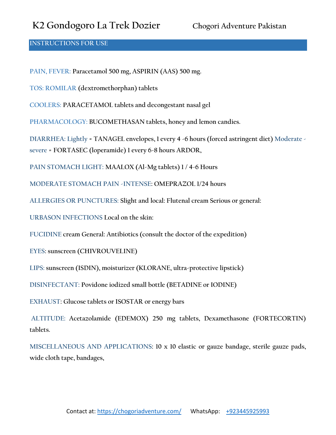### <span id="page-10-0"></span>**INSTRUCTIONS FOR USE**

**PAIN, FEVER: Paracetamol 500 mg, ASPIRIN (AAS) 500 mg.** 

**TOS: ROMILAR (dextromethorphan) tablets**

**COOLERS: PARACETAMOL tablets and decongestant nasal gel** 

**PHARMACOLOGY: BUCOMETHASAN tablets, honey and lemon candies.** 

**DIARRHEA: Lightly = TANAGEL envelopes, 1 every 4 -6 hours (forced astringent diet) Moderate severe = FORTASEC (loperamide) 1 every 6-8 hours ARDOR,** 

**PAIN STOMACH LIGHT: MAALOX (Al-Mg tablets) 1 / 4-6 Hours**

**MODERATE STOMACH PAIN -INTENSE: OMEPRAZOL 1/24 hours** 

**ALLERGIES OR PUNCTURES: Slight and local: Flutenal cream Serious or general:** 

**URBASON INFECTIONS Local on the skin:** 

**FUCIDINE cream General: Antibiotics (consult the doctor of the expedition)** 

**EYES: sunscreen (CHIVROUVELINE)** 

**LIPS: sunscreen (ISDIN), moisturizer (KLORANE, ultra-protective lipstick)** 

**DISINFECTANT: Povidone iodized small bottle (BETADINE or IODINE)** 

**EXHAUST: Glucose tablets or ISOSTAR or energy bars**

**ALTITUDE: Acetazolamide (EDEMOX) 250 mg tablets, Dexamethasone (FORTECORTIN) tablets.** 

**MISCELLANEOUS AND APPLICATIONS: 10 x 10 elastic or gauze bandage, sterile gauze pads, wide cloth tape, bandages,**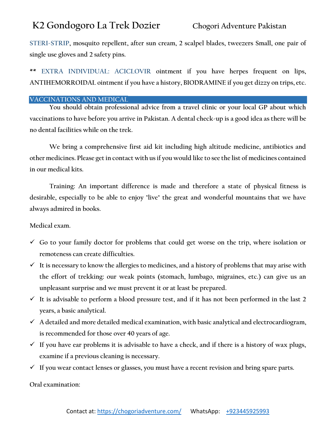**STERI-STRIP, mosquito repellent, after sun cream, 2 scalpel blades, tweezers Small, one pair of single use gloves and 2 safety pins.**

**\*\* EXTRA INDIVIDUAL: ACICLOVIR ointment if you have herpes frequent on lips, ANTIHEMORROIDAL ointment if you have a history, BIODRAMINE if you get dizzy on trips, etc.**

## <span id="page-11-0"></span>**VACCINATIONS AND MEDICAL**

**You should obtain professional advice from a travel clinic or your local GP about which vaccinations to have before you arrive in Pakistan. A dental check-up is a good idea as there will be no dental facilities while on the trek.**

**We bring a comprehensive first aid kit including high altitude medicine, antibiotics and other medicines. Please get in contact with us if you would like to see the list of medicines contained in our medical kits.**

**Training: An important difference is made and therefore a state of physical fitness is desirable, especially to be able to enjoy "live" the great and wonderful mountains that we have always admired in books.**

## **Medical exam.**

- **Go to your family doctor for problems that could get worse on the trip, where isolation or remoteness can create difficulties.**
- **It is necessary to know the allergies to medicines, and a history of problems that may arise with the effort of trekking: our weak points (stomach, lumbago, migraines, etc.) can give us an unpleasant surprise and we must prevent it or at least be prepared.**
- **It is advisable to perform a blood pressure test, and if it has not been performed in the last 2 years, a basic analytical.**
- **A detailed and more detailed medical examination, with basic analytical and electrocardiogram, is recommended for those over 40 years of age.**
- **If you have ear problems it is advisable to have a check, and if there is a history of wax plugs, examine if a previous cleaning is necessary.**
- **If you wear contact lenses or glasses, you must have a recent revision and bring spare parts.**

**Oral examination:**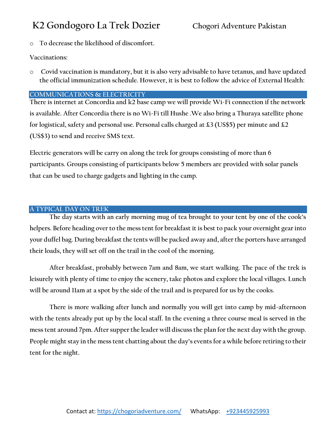o **To decrease the likelihood of discomfort.**

**Vaccinations:** 

o **Covid vaccination is mandatory, but it is also very advisable to have tetanus, and have updated the official immunization schedule. However, it is best to follow the advice of External Health:**

## <span id="page-12-0"></span>**COMMUNICATIONS & ELECTRICITY**

**There is internet at Concordia and k2 base camp we will provide Wi-Fi connection if the network is available. After Concordia there is no Wi-Fi till Hushe .We also bring a Thuraya satellite phone for logistical, safety and personal use. Personal calls charged at £3 (US\$5) per minute and £2 (US\$3) to send and receive SMS text.**

**Electric generators will be carry on along the trek for groups consisting of more than 6 participants. Groups consisting of participants below 5 members are provided with solar panels that can be used to charge gadgets and lighting in the camp.**

## <span id="page-12-1"></span>**A TYPICAL DAY ON TREK**

**The day starts with an early morning mug of tea brought to your tent by one of the cook's helpers. Before heading over to the mess tent for breakfast it is best to pack your overnight gear into your duffel bag. During breakfast the tents will be packed away and, after the porters have arranged their loads, they will set off on the trail in the cool of the morning.**

**After breakfast, probably between 7am and 8am, we start walking. The pace of the trek is leisurely with plenty of time to enjoy the scenery, take photos and explore the local villages. Lunch will be around 11am at a spot by the side of the trail and is prepared for us by the cooks.**

**There is more walking after lunch and normally you will get into camp by mid-afternoon with the tents already put up by the local staff. In the evening a three course meal is served in the mess tent around 7pm. After supper the leader will discuss the plan for the next day with the group. People might stay in the mess tent chatting about the day's events for a while before retiring to their tent for the night.**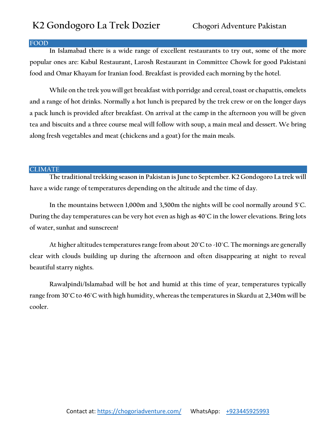### <span id="page-13-0"></span>**FOOD**

**In Islamabad there is a wide range of excellent restaurants to try out, some of the more popular ones are: Kabul Restaurant, Larosh Restaurant in Committee Chowk for good Pakistani food and Omar Khayam for Iranian food. Breakfast is provided each morning by the hotel.**

**While on the trek you will get breakfast with porridge and cereal, toast or chapattis, omelets and a range of hot drinks. Normally a hot lunch is prepared by the trek crew or on the longer days a pack lunch is provided after breakfast. On arrival at the camp in the afternoon you will be given tea and biscuits and a three course meal will follow with soup, a main meal and dessert. We bring along fresh vegetables and meat (chickens and a goat) for the main meals.**

### <span id="page-13-1"></span>**CLIMATE**

**The traditional trekking season in Pakistan is June to September. K2 Gondogoro La trek will have a wide range of temperatures depending on the altitude and the time of day.**

**In the mountains between 1,000m and 3,500m the nights will be cool normally around 5˚C. During the day temperatures can be very hot even as high as 40˚C in the lower elevations. Bring lots of water, sunhat and sunscreen!**

**At higher altitudes temperatures range from about 20˚C to -10˚C. The mornings are generally clear with clouds building up during the afternoon and often disappearing at night to reveal beautiful starry nights.**

**Rawalpindi/Islamabad will be hot and humid at this time of year, temperatures typically range from 30˚C to 46˚C with high humidity, whereas the temperatures in Skardu at 2,340m will be cooler.**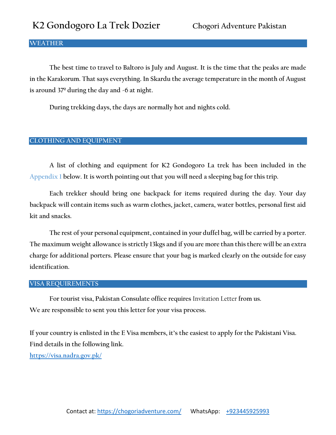### <span id="page-14-0"></span>**WEATHER**

**The best time to travel to Baltoro is July and August. It is the time that the peaks are made in the Karakorum. That says everything. In Skardu the average temperature in the month of August is around 37º during the day and -6 at night.**

**During trekking days, the days are normally hot and nights cold.**

### <span id="page-14-1"></span>**CLOTHING AND EQUIPMENT**

**A list of clothing and equipment for K2 Gondogoro La trek has been included in the Appendix 1 below. It is worth pointing out that you will need a sleeping bag for this trip.**

**Each trekker should bring one backpack for items required during the day. Your day backpack will contain items such as warm clothes, jacket, camera, water bottles, personal first aid kit and snacks.**

**The rest of your personal equipment, contained in your duffel bag, will be carried by a porter. The maximum weight allowance is strictly 13kgs and if you are more than this there will be an extra charge for additional porters. Please ensure that your bag is marked clearly on the outside for easy identification.**

### <span id="page-14-2"></span>**VISA REQUIREMENTS**

**For tourist visa, Pakistan Consulate office requires** Invitation Letter **from us. We are responsible to sent you this letter for your visa process.** 

**If your country is enlisted in the E Visa members, it's the easiest to apply for the Pakistani Visa. Find details in the following link. <https://visa.nadra.gov.pk/>**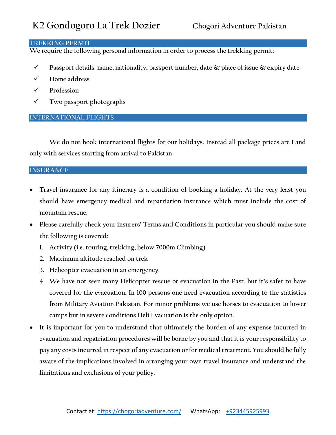### <span id="page-15-0"></span>**TREKKING PERMIT**

**We require the following personal information in order to process the trekking permit:**

- **Passport details: name, nationality, passport number, date & place of issue & expiry date**
- **Home address**
- **Profession**
- **Two passport photographs**

## <span id="page-15-1"></span>**INTERNATIONAL FLIGHTS**

**We do not book international flights for our holidays. Instead all package prices are Land only with services starting from arrival to Pakistan**

### <span id="page-15-2"></span>**INSURANCE**

- **Travel insurance for any itinerary is a condition of booking a holiday. At the very least you should have emergency medical and repatriation insurance which must include the cost of mountain rescue.**
- **Please carefully check your insurers' Terms and Conditions in particular you should make sure the following is covered:** 
	- **1. Activity (i.e. touring, trekking, below 7000m Climbing)**
	- **2. Maximum altitude reached on trek**
	- **3. Helicopter evacuation in an emergency.**
	- **4. We have not seen many Helicopter rescue or evacuation in the Past. but it's safer to have covered for the evacuation, In 100 persons one need evacuation according to the statistics from Military Aviation Pakistan. For minor problems we use horses to evacuation to lower camps but in severe conditions Heli Evacuation is the only option.**
- **It is important for you to understand that ultimately the burden of any expense incurred in evacuation and repatriation procedures will be borne by you and that it is your responsibility to pay any costs incurred in respect of any evacuation or for medical treatment. You should be fully aware of the implications involved in arranging your own travel insurance and understand the limitations and exclusions of your policy.**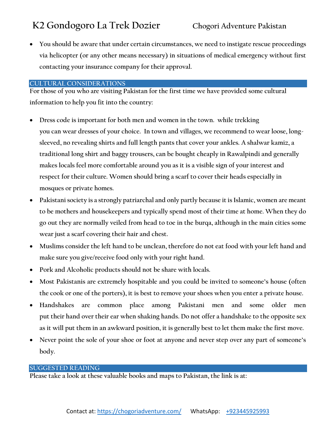**You should be aware that under certain circumstances, we need to instigate rescue proceedings via helicopter (or any other means necessary) in situations of medical emergency without first contacting your insurance company for their approval.**

### <span id="page-16-0"></span>**CULTURAL CONSIDERATIONS**

**For those of you who are visiting Pakistan for the first time we have provided some cultural information to help you fit into the country:**

- **Dress code is important for both men and women in the town. while trekking you can wear dresses of your choice. In town and villages, we recommend to wear loose, longsleeved, no revealing shirts and full length pants that cover your ankles. A shalwar kamiz, a traditional long shirt and baggy trousers, can be bought cheaply in Rawalpindi and generally makes locals feel more comfortable around you as it is a visible sign of your interest and respect for their culture. Women should bring a scarf to cover their heads especially in mosques or private homes.**
- **Pakistani society is a strongly patriarchal and only partly because it is Islamic, women are meant to be mothers and housekeepers and typically spend most of their time at home. When they do go out they are normally veiled from head to toe in the burqa, although in the main cities some wear just a scarf covering their hair and chest.**
- **Muslims consider the left hand to be unclean, therefore do not eat food with your left hand and make sure you give/receive food only with your right hand.**
- **Pork and Alcoholic products should not be share with locals.**
- **Most Pakistanis are extremely hospitable and you could be invited to someone's house (often the cook or one of the porters), it is best to remove your shoes when you enter a private house.**
- **Handshakes are common place among Pakistani men and some older men put their hand over their ear when shaking hands. Do not offer a handshake to the opposite sex as it will put them in an awkward position, it is generally best to let them make the first move.**
- **Never point the sole of your shoe or foot at anyone and never step over any part of someone's body.**

### <span id="page-16-1"></span>**SUGGESTED READING**

**Please take a look at these valuable books and maps to Pakistan, the link is at:**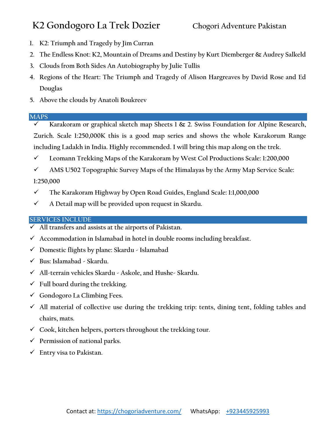- **1. K2: Triumph and Tragedy by Jim Curran**
- **2. The Endless Knot: K2, Mountain of Dreams and Destiny by Kurt Diemberger & Audrey Salkeld**
- **3. Clouds from Both Sides An Autobiography by Julie Tullis**
- **4. Regions of the Heart: The Triumph and Tragedy of Alison Hargreaves by David Rose and Ed Douglas**
- **5. Above the clouds by Anatoli Boukreev**

## <span id="page-17-0"></span>**MAPS**

- **Karakoram or graphical sketch map Sheets 1 & 2. Swiss Foundation for Alpine Research, Zurich. Scale 1:250,000K this is a good map series and shows the whole Karakorum Range including Ladakh in India. Highly recommended. I will bring this map along on the trek.**
- **Leomann Trekking Maps of the Karakoram by West Col Productions Scale: 1:200,000**
- **AMS U502 Topographic Survey Maps of the Himalayas by the Army Map Service Scale:**

**1:250,000**

- **The Karakoram Highway by Open Road Guides, England Scale: 1:1,000,000**
- **A Detail map will be provided upon request in Skardu.**

## <span id="page-17-1"></span>**SERVICES INCLUDE**

- **All transfers and assists at the airports of Pakistan.**
- **Accommodation in Islamabad in hotel in double rooms including breakfast.**
- **Domestic flights by plane: Skardu - Islamabad**
- **Bus: Islamabad - Skardu.**
- **All-terrain vehicles Skardu - Askole, and Hushe- Skardu.**
- **Full board during the trekking.**
- **Gondogoro La Climbing Fees.**
- **All material of collective use during the trekking trip: tents, dining tent, folding tables and chairs, mats.**
- **Cook, kitchen helpers, porters throughout the trekking tour.**
- **Permission of national parks.**
- **Entry visa to Pakistan.**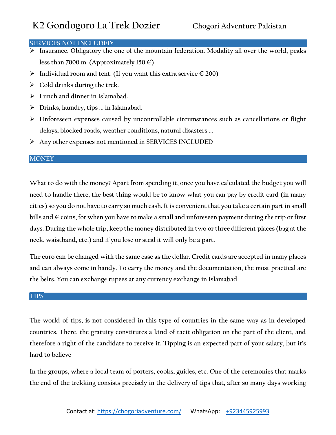## <span id="page-18-0"></span>**SERVICES NOT INCLUDED:**

- **Insurance. Obligatory the one of the mountain federation. Modality all over the world, peaks less than 7000 m. (Approximately 150 €)**
- **Individual room and tent. (If you want this extra service € 200)**
- **Cold drinks during the trek.**
- **Lunch and dinner in Islamabad.**
- **Drinks, laundry, tips ... in Islamabad.**
- **Unforeseen expenses caused by uncontrollable circumstances such as cancellations or flight delays, blocked roads, weather conditions, natural disasters ...**
- **Any other expenses not mentioned in SERVICES INCLUDED**

### <span id="page-18-1"></span>**MONEY**

**What to do with the money? Apart from spending it, once you have calculated the budget you will need to handle there, the best thing would be to know what you can pay by credit card (in many cities) so you do not have to carry so much cash. It is convenient that you take a certain part in small bills and € coins, for when you have to make a small and unforeseen payment during the trip or first days. During the whole trip, keep the money distributed in two or three different places (bag at the neck, waistband, etc.) and if you lose or steal it will only be a part.**

**The euro can be changed with the same ease as the dollar. Credit cards are accepted in many places and can always come in handy. To carry the money and the documentation, the most practical are the belts. You can exchange rupees at any currency exchange in Islamabad.**

### <span id="page-18-2"></span>**TIPS**

**The world of tips, is not considered in this type of countries in the same way as in developed countries. There, the gratuity constitutes a kind of tacit obligation on the part of the client, and therefore a right of the candidate to receive it. Tipping is an expected part of your salary, but it's hard to believe**

**In the groups, where a local team of porters, cooks, guides, etc. One of the ceremonies that marks the end of the trekking consists precisely in the delivery of tips that, after so many days working**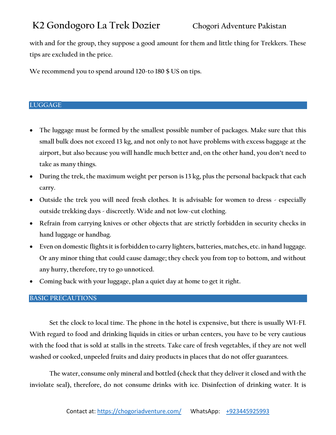**with and for the group, they suppose a good amount for them and little thing for Trekkers. These tips are excluded in the price.**

**We recommend you to spend around 120-to 180 \$ US on tips.**

## <span id="page-19-0"></span>**LUGGAGE**

- **The luggage must be formed by the smallest possible number of packages. Make sure that this small bulk does not exceed 13 kg, and not only to not have problems with excess baggage at the airport, but also because you will handle much better and, on the other hand, you don't need to take as many things.**
- **During the trek, the maximum weight per person is 13 kg, plus the personal backpack that each carry.**
- **Outside the trek you will need fresh clothes. It is advisable for women to dress - especially outside trekking days - discreetly. Wide and not low-cut clothing.**
- **Refrain from carrying knives or other objects that are strictly forbidden in security checks in hand luggage or handbag.**
- **Even on domestic flights it is forbidden to carry lighters, batteries, matches, etc. in hand luggage. Or any minor thing that could cause damage; they check you from top to bottom, and without any hurry, therefore, try to go unnoticed.**
- **Coming back with your luggage, plan a quiet day at home to get it right.**

## <span id="page-19-1"></span>**BASIC PRECAUTIONS**

**Set the clock to local time. The phone in the hotel is expensive, but there is usually WI-FI. With regard to food and drinking liquids in cities or urban centers, you have to be very cautious with the food that is sold at stalls in the streets. Take care of fresh vegetables, if they are not well washed or cooked, unpeeled fruits and dairy products in places that do not offer guarantees.** 

**The water, consume only mineral and bottled (check that they deliver it closed and with the inviolate seal), therefore, do not consume drinks with ice. Disinfection of drinking water. It is**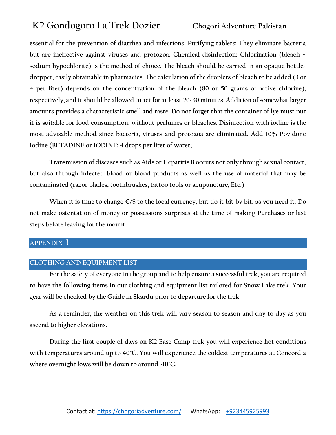**essential for the prevention of diarrhea and infections. Purifying tablets: They eliminate bacteria but are ineffective against viruses and protozoa. Chemical disinfection: Chlorination (bleach = sodium hypochlorite) is the method of choice. The bleach should be carried in an opaque bottledropper, easily obtainable in pharmacies. The calculation of the droplets of bleach to be added (3 or 4 per liter) depends on the concentration of the bleach (80 or 50 grams of active chlorine), respectively, and it should be allowed to act for at least 20-30 minutes. Addition of somewhat larger amounts provides a characteristic smell and taste. Do not forget that the container of lye must put it is suitable for food consumption: without perfumes or bleaches. Disinfection with iodine is the most advisable method since bacteria, viruses and protozoa are eliminated. Add 10% Povidone Iodine (BETADINE or IODINE: 4 drops per liter of water;**

**Transmission of diseases such as Aids or Hepatitis B occurs not only through sexual contact, but also through infected blood or blood products as well as the use of material that may be contaminated (razor blades, toothbrushes, tattoo tools or acupuncture, Etc.)**

**When it is time to change €/\$ to the local currency, but do it bit by bit, as you need it. Do not make ostentation of money or possessions surprises at the time of making Purchases or last steps before leaving for the mount.**

## <span id="page-20-0"></span>**APPENDIX 1**

## <span id="page-20-1"></span>**CLOTHING AND EQUIPMENT LIST**

**For the safety of everyone in the group and to help ensure a successful trek, you are required to have the following items in our clothing and equipment list tailored for Snow Lake trek. Your gear will be checked by the Guide in Skardu prior to departure for the trek.**

**As a reminder, the weather on this trek will vary season to season and day to day as you ascend to higher elevations.**

**During the first couple of days on K2 Base Camp trek you will experience hot conditions with temperatures around up to 40˚C. You will experience the coldest temperatures at Concordia where overnight lows will be down to around -10˚C.**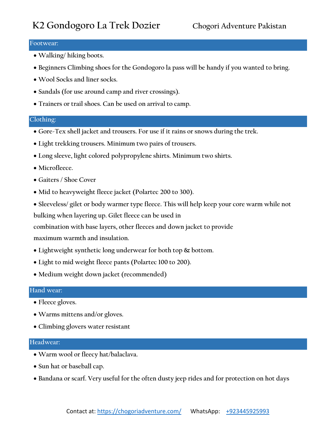### <span id="page-21-0"></span>**Footwear:**

- **Walking/ hiking boots.**
- **Beginners Climbing shoes for the Gondogoro la pass will be handy if you wanted to bring.**
- **Wool Socks and liner socks.**
- **Sandals (for use around camp and river crossings).**
- **Trainers or trail shoes. Can be used on arrival to camp.**

### <span id="page-21-1"></span>**Clothing:**

- **Gore-Tex shell jacket and trousers. For use if it rains or snows during the trek.**
- **Light trekking trousers. Minimum two pairs of trousers.**
- **Long sleeve, light colored polypropylene shirts. Minimum two shirts.**
- **Microfleece.**
- **Gaiters / Shoe Cover**
- **Mid to heavyweight fleece jacket (Polartec 200 to 300).**
- **Sleeveless/ gilet or body warmer type fleece. This will help keep your core warm while not**

**bulking when layering up. Gilet fleece can be used in**

**combination with base layers, other fleeces and down jacket to provide**

**maximum warmth and insulation.**

- **Lightweight synthetic long underwear for both top & bottom.**
- **Light to mid weight fleece pants (Polartec 100 to 200).**
- **Medium weight down jacket (recommended)**

### <span id="page-21-2"></span>**Hand wear:**

- **Fleece gloves.**
- **Warms mittens and/or gloves.**
- **Climbing glovers water resistant**

### <span id="page-21-3"></span>**Headwear:**

- **Warm wool or fleecy hat/balaclava.**
- **Sun hat or baseball cap.**
- **Bandana or scarf. Very useful for the often dusty jeep rides and for protection on hot days**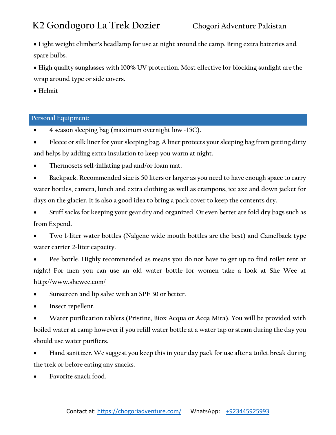**Light weight climber's headlamp for use at night around the camp. Bring extra batteries and spare bulbs.**

 **High quality sunglasses with 100% UV protection. Most effective for blocking sunlight are the wrap around type or side covers.**

**Helmit**

## <span id="page-22-0"></span>**Personal Equipment:**

- **4 season sleeping bag (maximum overnight low -15C).**
- **Fleece or silk liner for your sleeping bag. A liner protects your sleeping bag from getting dirty and helps by adding extra insulation to keep you warm at night.**
- **Thermosets self-inflating pad and/or foam mat.**

 **Backpack. Recommended size is 50 liters or larger as you need to have enough space to carry water bottles, camera, lunch and extra clothing as well as crampons, ice axe and down jacket for days on the glacier. It is also a good idea to bring a pack cover to keep the contents dry.**

- **Stuff sacks for keeping your gear dry and organized. Or even better are fold dry bags such as from Expend.**
- **Two 1-liter water bottles (Nalgene wide mouth bottles are the best) and Camelback type water carrier 2-liter capacity.**
- **Pee bottle. Highly recommended as means you do not have to get up to find toilet tent at night! For men you can use an old water bottle for women take a look at She Wee at <http://www.shewee.com/>**
- **Sunscreen and lip salve with an SPF 30 or better.**
- **Insect repellent.**

 **Water purification tablets (Pristine, Biox Acqua or Acqa Mira). You will be provided with boiled water at camp however if you refill water bottle at a water tap or steam during the day you should use water purifiers.**

 **Hand sanitizer. We suggest you keep this in your day pack for use after a toilet break during the trek or before eating any snacks.**

**Favorite snack food.**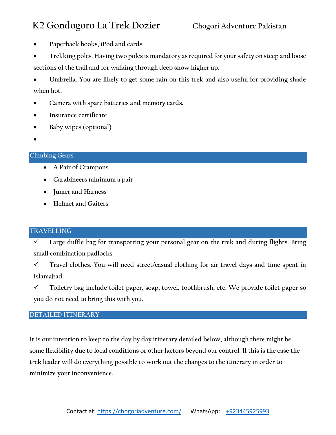- **Paperback books, iPod and cards.**
- **Trekking poles. Having two poles is mandatory as required for your safety on steep and loose sections of the trail and for walking through deep snow higher up.**
- **Umbrella. You are likely to get some rain on this trek and also useful for providing shade when hot.**
- **Camera with spare batteries and memory cards.**
- **Insurance certificate**
- **Baby wipes (optional)**
- $\bullet$

## <span id="page-23-0"></span>**Climbing Gears**

- **A Pair of Crampons**
- **Carabineers minimum a pair**
- **Jumer and Harness**
- **Helmet and Gaiters**

## <span id="page-23-1"></span>**TRAVELLING**

 **Large duffle bag for transporting your personal gear on the trek and during flights. Bring small combination padlocks.**

 **Travel clothes. You will need street/casual clothing for air travel days and time spent in Islamabad.**

 **Toiletry bag include toilet paper, soap, towel, toothbrush, etc. We provide toilet paper so you do not need to bring this with you.**

## <span id="page-23-2"></span>**DETAILED ITINERARY**

**It is our intention to keep to the day by day itinerary detailed below, although there might be some flexibility due to local conditions or other factors beyond our control. If this is the case the trek leader will do everything possible to work out the changes to the itinerary in order to minimize your inconvenience.**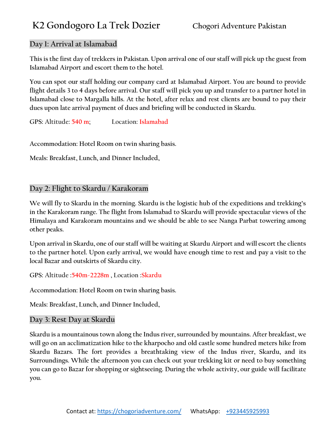## **Day 1: Arrival at Islamabad**

**This is the first day of trekkers in Pakistan. Upon arrival one of our staff will pick up the guest from Islamabad Airport and escort them to the hotel.**

**You can spot our staff holding our company card at Islamabad Airport. You are bound to provide flight details 3 to 4 days before arrival. Our staff will pick you up and transfer to a partner hotel in Islamabad close to Margalla hills. At the hotel, after relax and rest clients are bound to pay their dues upon late arrival payment of dues and briefing will be conducted in Skardu.**

**GPS: Altitude: 540 m; Location: Islamabad**

**Accommodation: Hotel Room on twin sharing basis.**

**Meals: Breakfast, Lunch, and Dinner Included,**

## **Day 2: Flight to Skardu / Karakoram**

**We will fly to Skardu in the morning. Skardu is the logistic hub of the expeditions and trekking's in the Karakoram range. The flight from Islamabad to Skardu will provide spectacular views of the Himalaya and Karakoram mountains and we should be able to see Nanga Parbat towering among other peaks.**

**Upon arrival in Skardu, one of our staff will be waiting at Skardu Airport and will escort the clients to the partner hotel. Upon early arrival, we would have enough time to rest and pay a visit to the local Bazar and outskirts of Skardu city.**

**GPS: Altitude :540m-2228m , Location :Skardu**

**Accommodation: Hotel Room on twin sharing basis.**

**Meals: Breakfast, Lunch, and Dinner Included,**

## **Day 3: Rest Day at Skardu**

**Skardu is a mountainous town along the Indus river, surrounded by mountains. After breakfast, we will go on an acclimatization hike to the kharpocho and old castle some hundred meters hike from Skardu Bazars. The fort provides a breathtaking view of the Indus river, Skardu, and its Surroundings. While the afternoon you can check out your trekking kit or need to buy something you can go to Bazar for shopping or sightseeing. During the whole activity, our guide will facilitate you.**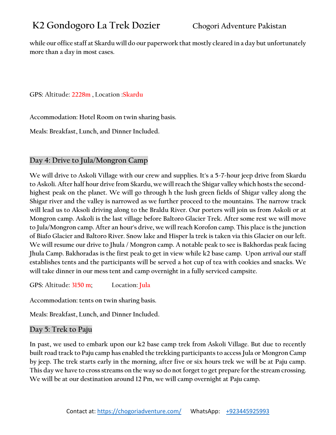**while our office staff at Skardu will do our paperwork that mostly cleared in a day but unfortunately more than a day in most cases.** 

**GPS: Altitude: 2228m , Location :Skardu**

**Accommodation: Hotel Room on twin sharing basis.**

**Meals: Breakfast, Lunch, and Dinner Included.**

## **Day 4: Drive to Jula/Mongron Camp**

**We will drive to Askoli Village with our crew and supplies. It's a 5-7-hour jeep drive from Skardu to Askoli. After half hour drive from Skardu, we will reach the Shigar valley which hosts the secondhighest peak on the planet. We will go through h the lush green fields of Shigar valley along the Shigar river and the valley is narrowed as we further proceed to the mountains. The narrow track will lead us to Aksoli driving along to the Braldu River. Our porters will join us from Askoli or at Mongron camp. Askoli is the last village before Baltoro Glacier Trek. After some rest we will move to Jula/Mongron camp. After an hour's drive, we will reach Korofon camp. This place is the junction of Biafo Glacier and Baltoro River. Snow lake and Hisper la trek is taken via this Glacier on our left. We will resume our drive to Jhula / Mongron camp. A notable peak to see is Bakhordas peak facing Jhula Camp. Bakhoradas is the first peak to get in view while k2 base camp. Upon arrival our staff establishes tents and the participants will be served a hot cup of tea with cookies and snacks. We will take dinner in our mess tent and camp overnight in a fully serviced campsite.** 

**GPS: Altitude: 3150 m; Location: Jula**

**Accommodation: tents on twin sharing basis.**

**Meals: Breakfast, Lunch, and Dinner Included.**

## **Day 5: Trek to Paju**

**In past, we used to embark upon our k2 base camp trek from Askoli Village. But due to recently built road track to Paju camp has enabled the trekking participants to access Jula or Mongron Camp by jeep. The trek starts early in the morning, after five or six hours trek we will be at Paju camp. This day we have to cross streams on the way so do not forget to get prepare for the stream crossing. We will be at our destination around 12 Pm, we will camp overnight at Paju camp.**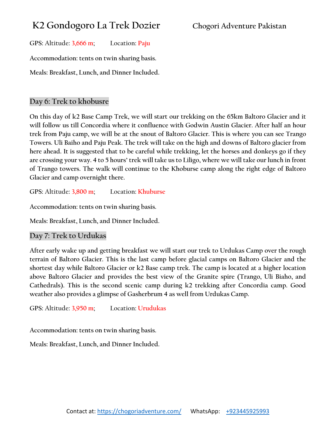**GPS: Altitude: 3,666 m; Location: Paju**

**Accommodation: tents on twin sharing basis.**

**Meals: Breakfast, Lunch, and Dinner Included.**

## **Day 6: Trek to khobusre**

**On this day of k2 Base Camp Trek, we will start our trekking on the 65km Baltoro Glacier and it will follow us till Concordia where it confluence with Godwin Austin Glacier. After half an hour trek from Paju camp, we will be at the snout of Baltoro Glacier. This is where you can see Trango Towers. Uli Baiho and Paju Peak. The trek will take on the high and downs of Baltoro glacier from here ahead. It is suggested that to be careful while trekking, let the horses and donkeys go if they are crossing your way. 4 to 5 hours' trek will take us to Liligo, where we will take our lunch in front of Trango towers. The walk will continue to the Khoburse camp along the right edge of Baltoro Glacier and camp overnight there.**

**GPS: Altitude: 3,800 m; Location: Khuburse**

**Accommodation: tents on twin sharing basis.**

**Meals: Breakfast, Lunch, and Dinner Included.**

## **Day 7: Trek to Urdukas**

**After early wake up and getting breakfast we will start our trek to Urdukas Camp over the rough terrain of Baltoro Glacier. This is the last camp before glacial camps on Baltoro Glacier and the shortest day while Baltoro Glacier or k2 Base camp trek. The camp is located at a higher location above Baltoro Glacier and provides the best view of the Granite spire (Trango, Uli Biaho, and Cathedrals). This is the second scenic camp during k2 trekking after Concordia camp. Good weather also provides a glimpse of Gasherbrum 4 as well from Urdukas Camp.**

**GPS: Altitude: 3,950 m; Location: Urudukas**

**Accommodation: tents on twin sharing basis.**

**Meals: Breakfast, Lunch, and Dinner Included.**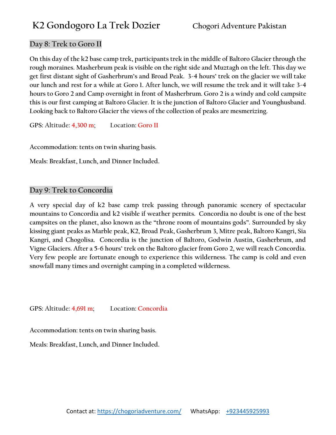## **Day 8: Trek to Goro II**

**On this day of the k2 base camp trek, participants trek in the middle of Baltoro Glacier through the rough moraines. Masherbrum peak is visible on the right side and Muztagh on the left. This day we get first distant sight of Gasherbrum's and Broad Peak. 3-4 hours' trek on the glacier we will take our lunch and rest for a while at Goro 1. After lunch, we will resume the trek and it will take 3-4 hours to Goro 2 and Camp overnight in front of Masherbrum. Goro 2 is a windy and cold campsite this is our first camping at Baltoro Glacier. It is the junction of Baltoro Glacier and Younghusband. Looking back to Baltoro Glacier the views of the collection of peaks are mesmerizing.**

**GPS: Altitude: 4,300 m; Location: Goro II**

**Accommodation: tents on twin sharing basis.**

**Meals: Breakfast, Lunch, and Dinner Included.**

## **Day 9: Trek to Concordia**

**A very special day of k2 base camp trek passing through panoramic scenery of spectacular mountains to Concordia and k2 visible if weather permits. Concordia no doubt is one of the best campsites on the planet, also known as the "throne room of mountains gods". Surrounded by sky kissing giant peaks as Marble peak, K2, Broad Peak, Gasherbrum 3, Mitre peak, Baltoro Kangri, Sia Kangri, and Chogolisa. Concordia is the junction of Baltoro, Godwin Austin, Gasherbrum, and Vigne Glaciers. After a 5-6 hours' trek on the Baltoro glacier from Goro 2, we will reach Concordia. Very few people are fortunate enough to experience this wilderness. The camp is cold and even snowfall many times and overnight camping in a completed wilderness.**

**GPS: Altitude: 4,691 m; Location: Concordia**

**Accommodation: tents on twin sharing basis.**

**Meals: Breakfast, Lunch, and Dinner Included.**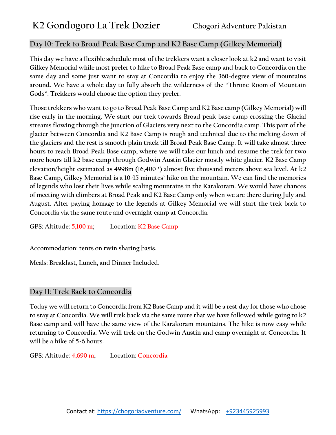## **Day 10: Trek to Broad Peak Base Camp and K2 Base Camp (Gilkey Memorial)**

**This day we have a flexible schedule most of the trekkers want a closer look at k2 and want to visit Gilkey Memorial while most prefer to hike to Broad Peak Base camp and back to Concordia on the same day and some just want to stay at Concordia to enjoy the 360-degree view of mountains around. We have a whole day to fully absorb the wilderness of the "Throne Room of Mountain Gods". Trekkers would choose the option they prefer.**

**Those trekkers who want to go to Broad Peak Base Camp and K2 Base camp (Gilkey Memorial) will rise early in the morning. We start our trek towards Broad peak base camp crossing the Glacial streams flowing through the junction of Glaciers very next to the Concordia camp. This part of the glacier between Concordia and K2 Base Camp is rough and technical due to the melting down of the glaciers and the rest is smooth plain track till Broad Peak Base Camp. It will take almost three hours to reach Broad Peak Base camp, where we will take our lunch and resume the trek for two more hours till k2 base camp through Godwin Austin Glacier mostly white glacier. K2 Base Camp elevation/height estimated as 4998m (16,400 ′) almost five thousand meters above sea level. At k2 Base Camp, Gilkey Memorial is a 10-15 minutes' hike on the mountain. We can find the memories of legends who lost their lives while scaling mountains in the Karakoram. We would have chances of meeting with climbers at Broad Peak and K2 Base Camp only when we are there during July and August. After paying homage to the legends at Gilkey Memorial we will start the trek back to Concordia via the same route and overnight camp at Concordia.**

**GPS: Altitude: 5,100 m; Location: K2 Base Camp**

**Accommodation: tents on twin sharing basis.**

**Meals: Breakfast, Lunch, and Dinner Included.**

## **Day 11: Trek Back to Concordia**

**Today we will return to Concordia from K2 Base Camp and it will be a rest day for those who chose to stay at Concordia. We will trek back via the same route that we have followed while going to k2 Base camp and will have the same view of the Karakoram mountains. The hike is now easy while returning to Concordia. We will trek on the Godwin Austin and camp overnight at Concordia. It will be a hike of 5-6 hours.** 

**GPS: Altitude: 4,690 m; Location: Concordia**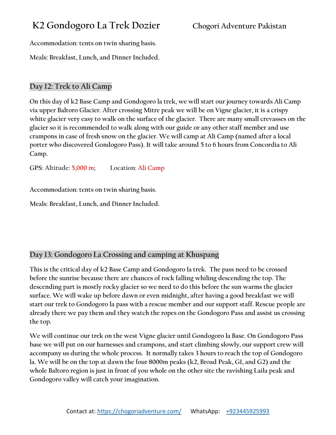**Accommodation: tents on twin sharing basis.**

**Meals: Breakfast, Lunch, and Dinner Included.**

## **Day 12: Trek to Ali Camp**

**On this day of k2 Base Camp and Gondogoro la trek, we will start our journey towards Ali Camp via upper Baltoro Glacier. After crossing Mitre peak we will be on Vigne glacier, it is a crispy white glacier very easy to walk on the surface of the glacier. There are many small crevasses on the glacier so it is recommended to walk along with our guide or any other staff member and use crampons in case of fresh snow on the glacier. We will camp at Ali Camp (named after a local porter who discovered Gondogoro Pass). It will take around 5 to 6 hours from Concordia to Ali Camp.**

**GPS: Altitude: 5,000 m; Location: Ali Camp**

**Accommodation: tents on twin sharing basis.**

**Meals: Breakfast, Lunch, and Dinner Included.**

## **Day 13: Gondogoro La Crossing and camping at Khuspang**

**This is the critical day of k2 Base Camp and Gondogoro la trek. The pass need to be crossed before the sunrise because there are chances of rock falling whiling descending the top. The descending part is mostly rocky glacier so we need to do this before the sun warms the glacier surface. We will wake up before dawn or even midnight, after having a good breakfast we will start our trek to Gondogoro la pass with a rescue member and our support staff. Rescue people are already there we pay them and they watch the ropes on the Gondogoro Pass and assist us crossing the top.** 

**We will continue our trek on the west Vigne glacier until Gondogoro la Base. On Gondogoro Pass base we will put on our harnesses and crampons, and start climbing slowly, our support crew will accompany us during the whole process. It normally takes 3 hours to reach the top of Gondogoro la. We will be on the top at dawn the four 8000m peaks (k2, Broad Peak, G1, and G2) and the whole Baltoro region is just in front of you whole on the other site the ravishing Laila peak and Gondogoro valley will catch your imagination.**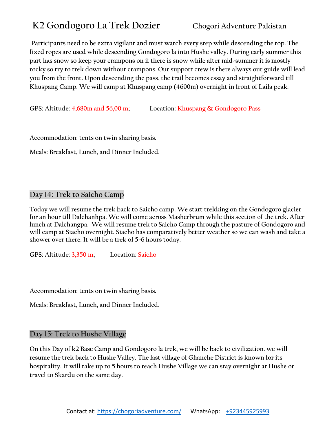**Participants need to be extra vigilant and must watch every step while descending the top. The fixed ropes are used while descending Gondogoro la into Hushe valley. During early summer this part has snow so keep your crampons on if there is snow while after mid-summer it is mostly rocky so try to trek down without crampons. Our support crew is there always our guide will lead you from the front. Upon descending the pass, the trail becomes essay and straightforward till Khuspang Camp. We will camp at Khuspang camp (4600m) overnight in front of Laila peak.**

**GPS: Altitude: 4,680m and 56,00 m; Location: Khuspang & Gondogoro Pass**

**Accommodation: tents on twin sharing basis.**

**Meals: Breakfast, Lunch, and Dinner Included.**

## **Day 14: Trek to Saicho Camp**

**Today we will resume the trek back to Saicho camp. We start trekking on the Gondogoro glacier for an hour till Dalchanhpa. We will come across Masherbrum while this section of the trek. After lunch at Dalchangpa. We will resume trek to Saicho Camp through the pasture of Gondogoro and will camp at Siacho overnight. Siacho has comparatively better weather so we can wash and take a shower over there. It will be a trek of 5-6 hours today.**

**GPS: Altitude: 3,350 m; Location: Saicho**

**Accommodation: tents on twin sharing basis.**

**Meals: Breakfast, Lunch, and Dinner Included.**

## **Day 15: Trek to Hushe Village**

**On this Day of k2 Base Camp and Gondogoro la trek, we will be back to civilization. we will resume the trek back to Hushe Valley. The last village of Ghanche District is known for its hospitality. It will take up to 5 hours to reach Hushe Village we can stay overnight at Hushe or travel to Skardu on the same day.**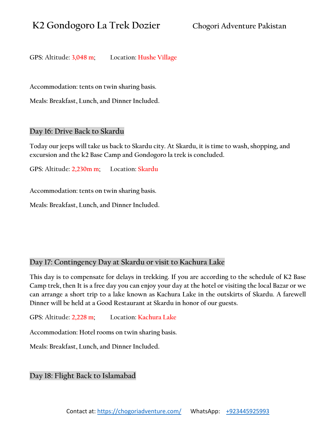**GPS: Altitude: 3,048 m; Location: Hushe Village**

**Accommodation: tents on twin sharing basis.**

**Meals: Breakfast, Lunch, and Dinner Included.**

## **Day 16: Drive Back to Skardu**

**Today our jeeps will take us back to Skardu city. At Skardu, it is time to wash, shopping, and excursion and the k2 Base Camp and Gondogoro la trek is concluded.**

**GPS: Altitude: 2,230m m; Location: Skardu** 

**Accommodation: tents on twin sharing basis.**

**Meals: Breakfast, Lunch, and Dinner Included.**

## **Day 17: Contingency Day at Skardu or visit to Kachura Lake**

**This day is to compensate for delays in trekking. If you are according to the schedule of K2 Base Camp trek, then It is a free day you can enjoy your day at the hotel or visiting the local Bazar or we can arrange a short trip to a lake known as Kachura Lake in the outskirts of Skardu. A farewell Dinner will be held at a Good Restaurant at Skardu in honor of our guests.**

**GPS: Altitude: 2,228 m; Location: Kachura Lake**

**Accommodation: Hotel rooms on twin sharing basis.**

**Meals: Breakfast, Lunch, and Dinner Included.**

## **Day 18: Flight Back to Islamabad**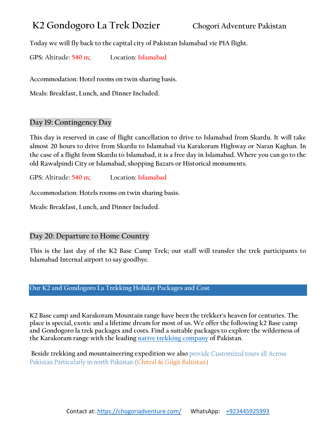**Today we will fly back to the capital city of Pakistan Islamabad vie PIA flight.**

**GPS: Altitude: 540 m; Location: Islamabad**

**Accommodation: Hotel rooms on twin sharing basis.**

**Meals: Breakfast, Lunch, and Dinner Included.**

## **Day 19: Contingency Day**

**This day is reserved in case of flight cancellation to drive to Islamabad from Skardu. It will take almost 20 hours to drive from Skardu to Islamabad via Karakoram Highway or Naran Kaghan. In the case of a flight from Skardu to Islamabad, it is a free day in Islamabad. Where you can go to the old Rawalpindi City or Islamabad, shopping Bazars or Historical monuments.**

**GPS: Altitude: 540 m; Location: Islamabad**

**Accommodation: Hotels rooms on twin sharing basis.**

**Meals: Breakfast, Lunch, and Dinner Included.**

## **Day 20: Departure to Home Country**

**This is the last day of the K2 Base Camp Trek; our staff will transfer the trek participants to Islamabad Internal airport to say goodbye.**

## **Our K2 and Gondogoro La Trekking Holiday Packages and Cost**

**K2 Base camp and Karakoram Mountain range have been the trekker's heaven for centuries. The place is special, exotic and a lifetime dream for most of us. We offer the following k2 Base camp and Gondogoro la trek packages and costs. Find a suitable packages to explore the wilderness of the Karakoram range with the leading [native trekking company](https://chogoriadventure.com/) of Pakistan.**

**Beside trekking and mountaineering expedition we also** provide Customized tours all Across Pakistan Particularly in north Pakistan (Chitral & Gilgit Baltistan)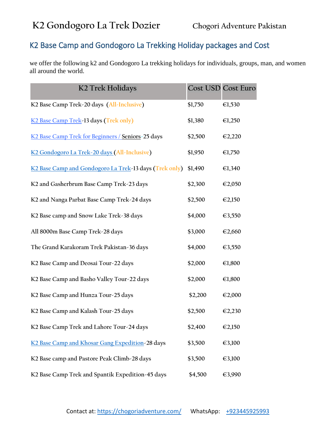## K2 Base Camp and Gondogoro La Trekking Holiday packages and Cost

we offer the following k2 and Gondogoro La trekking holidays for individuals, groups, man, and women all around the world.

| K2 Trek Holidays                                       | <b>Cost USD Cost Euro</b> |                  |
|--------------------------------------------------------|---------------------------|------------------|
| K2 Base Camp Trek-20 days (All-Inclusive)              | \$1,750                   | €1,530           |
| K2 Base Camp Trek-13 days (Trek only)                  | \$1,380                   | $\epsilon$ 1,250 |
| K2 Base Camp Trek for Beginners / Seniors-25 days      | \$2,500                   | €2,220           |
| K2 Gondogoro La Trek-20 days (All-Inclusive)           | \$1,950                   | €1,750           |
| K2 Base Camp and Gondogoro La Trek-13 days (Trek only) | \$1,490                   | €1,340           |
| K2 and Gasherbrum Base Camp Trek-23 days               | \$2,300                   | €2,050           |
| K2 and Nanga Parbat Base Camp Trek-24 days             | \$2,500                   | €2,150           |
| K2 Base camp and Snow Lake Trek-38 days                | \$4,000                   | €3,550           |
| All 8000m Base Camp Trek-28 days                       | \$3,000                   | €2,660           |
| The Grand Karakoram Trek Pakistan-36 days              | \$4,000                   | €3,550           |
| K2 Base Camp and Deosai Tour-22 days                   | \$2,000                   | €1,800           |
| K2 Base Camp and Basho Valley Tour-22 days             | \$2,000                   | €1,800           |
| K2 Base Camp and Hunza Tour-25 days                    | \$2,200                   | €2,000           |
| K2 Base Camp and Kalash Tour-25 days                   | \$2,500                   | €2,230           |
| K2 Base Camp Trek and Lahore Tour-24 days              | \$2,400                   | €2,150           |
| K2 Base Camp and Khosar Gang Expedition-28 days        | \$3,500                   | €3,100           |
| K2 Base camp and Pastore Peak Climb-28 days            | \$3,500                   | €3,100           |
| K2 Base Camp Trek and Spantik Expedition-45 days       | \$4,500                   | €3,990           |